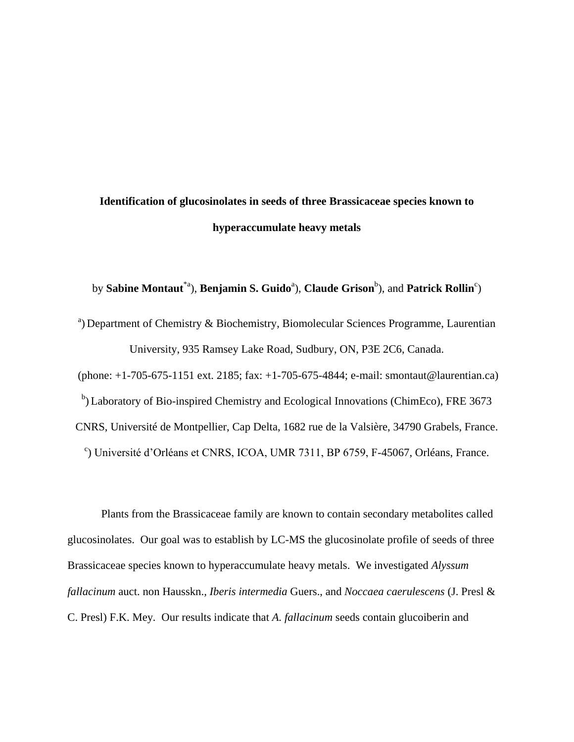## **Identification of glucosinolates in seeds of three Brassicaceae species known to hyperaccumulate heavy metals**

by **Sabine Montaut<sup>\*a</sup>), Benjamin S. Guido<sup>a</sup>), Claude Grison<sup>b</sup>), and <b>Patrick Rollin**<sup>c</sup>)

<sup>a</sup>) Department of Chemistry & Biochemistry, Biomolecular Sciences Programme, Laurentian University, 935 Ramsey Lake Road, Sudbury, ON, P3E 2C6, Canada. (phone: +1-705-675-1151 ext. 2185; fax: +1-705-675-4844; e-mail: [smontaut@laurentian.ca\)](mailto:smontaut@laurentian.ca)

<sup>b</sup>) Laboratory of Bio-inspired Chemistry and Ecological Innovations (ChimEco), FRE 3673

CNRS, Université de Montpellier, Cap Delta, 1682 rue de la Valsière, 34790 Grabels, France.

c ) Université d'Orléans et CNRS, ICOA, UMR 7311, BP 6759, F-45067, Orléans, France.

Plants from the Brassicaceae family are known to contain secondary metabolites called glucosinolates. Our goal was to establish by LC-MS the glucosinolate profile of seeds of three Brassicaceae species known to hyperaccumulate heavy metals. We investigated *Alyssum fallacinum* auct. non Hausskn.*, Iberis intermedia* Guers., and *Noccaea caerulescens* (J. Presl & C. Presl) F.K. Mey*.* Our results indicate that *A. fallacinum* seeds contain glucoiberin and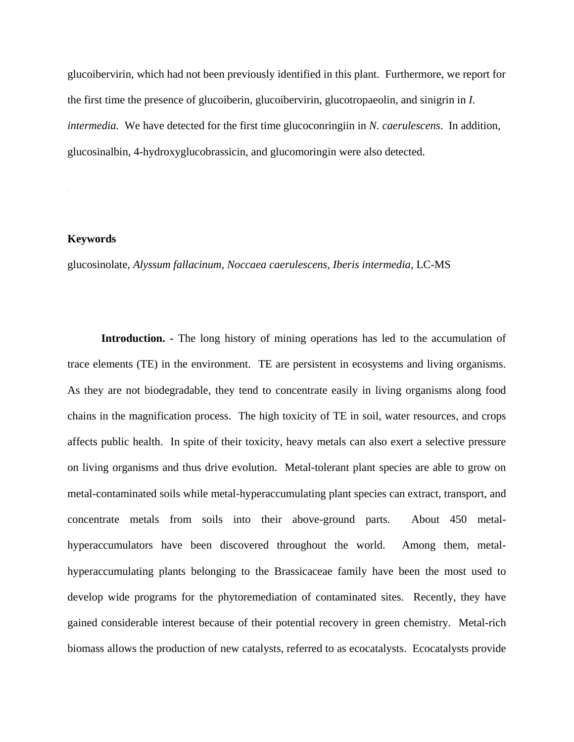glucoibervirin, which had not been previously identified in this plant. Furthermore, we report for the first time the presence of glucoiberin, glucoibervirin, glucotropaeolin, and sinigrin in *I. intermedia.* We have detected for the first time glucoconringiin in *N. caerulescens*. In addition, glucosinalbin, 4-hydroxyglucobrassicin, and glucomoringin were also detected.

## **Keywords**

glucosinolate, *Alyssum fallacinum, Noccaea caerulescens, Iberis intermedia,* LC-MS

**Introduction. -** The long history of mining operations has led to the accumulation of trace elements (TE) in the environment. TE are persistent in ecosystems and living organisms. As they are not biodegradable, they tend to concentrate easily in living organisms along food chains in the magnification process. The high toxicity of TE in soil, water resources, and crops affects public health. In spite of their toxicity, heavy metals can also exert a selective pressure on living organisms and thus drive evolution. Metal-tolerant plant species are able to grow on metal-contaminated soils while metal-hyperaccumulating plant species can extract, transport, and concentrate metals from soils into their above-ground parts. About 450 metalhyperaccumulators have been discovered throughout the world. Among them, metalhyperaccumulating plants belonging to the Brassicaceae family have been the most used to develop wide programs for the phytoremediation of contaminated sites. Recently, they have gained considerable interest because of their potential recovery in green chemistry. Metal-rich biomass allows the production of new catalysts, referred to as ecocatalysts. Ecocatalysts provide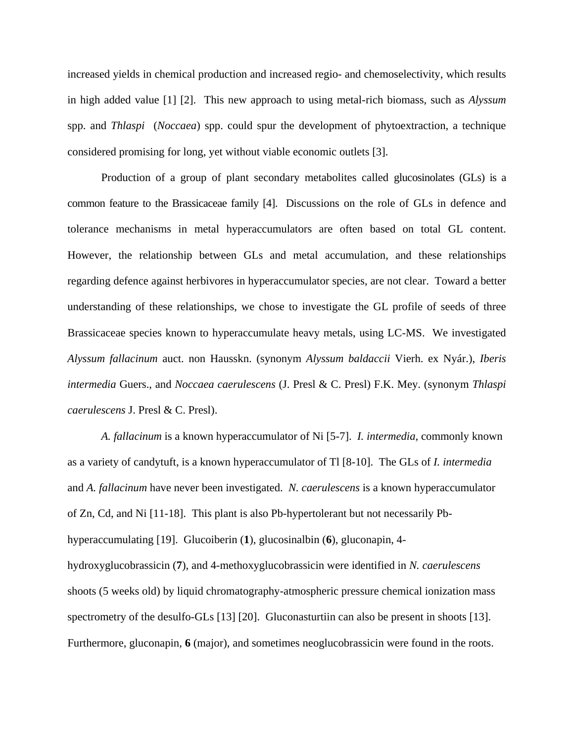increased yields in chemical production and increased regio- and chemoselectivity, which results in high added value [1] [2]. This new approach to using metal-rich biomass, such as *Alyssum* spp. and *Thlaspi* (*Noccaea*) spp. could spur the development of phytoextraction, a technique considered promising for long, yet without viable economic outlets [3].

Production of a group of plant secondary metabolites called glucosinolates (GLs) is a common feature to the Brassicaceae family [4]. Discussions on the role of GLs in defence and tolerance mechanisms in metal hyperaccumulators are often based on total GL content. However, the relationship between GLs and metal accumulation, and these relationships regarding defence against herbivores in hyperaccumulator species, are not clear. Toward a better understanding of these relationships, we chose to investigate the GL profile of seeds of three Brassicaceae species known to hyperaccumulate heavy metals, using LC-MS. We investigated *Alyssum fallacinum* auct. non Hausskn. (synonym *Alyssum baldaccii* Vierh. ex Nyár.), *Iberis intermedia* Guers., and *Noccaea caerulescens* (J. Presl & C. Presl) F.K. Mey. (synonym *Thlaspi caerulescens* J. Presl & C. Presl).

*A. fallacinum* is a known hyperaccumulator of Ni [5-7]. *I. intermedia,* commonly known as a variety of candytuft, is a known hyperaccumulator of Tl [8-10]. The GLs of *I. intermedia* and *A. fallacinum* have never been investigated. *N. caerulescens* is a known hyperaccumulator of Zn, Cd, and Ni [11-18]. This plant is also Pb-hypertolerant but not necessarily Pbhyperaccumulating [19]. Glucoiberin (**1**), glucosinalbin (**6**), gluconapin, 4 hydroxyglucobrassicin (**7**), and 4-methoxyglucobrassicin were identified in *N. caerulescens* shoots (5 weeks old) by liquid chromatography-atmospheric pressure chemical ionization mass spectrometry of the desulfo-GLs [13] [20]. Gluconasturtiin can also be present in shoots [13]. Furthermore, gluconapin, **6** (major), and sometimes neoglucobrassicin were found in the roots.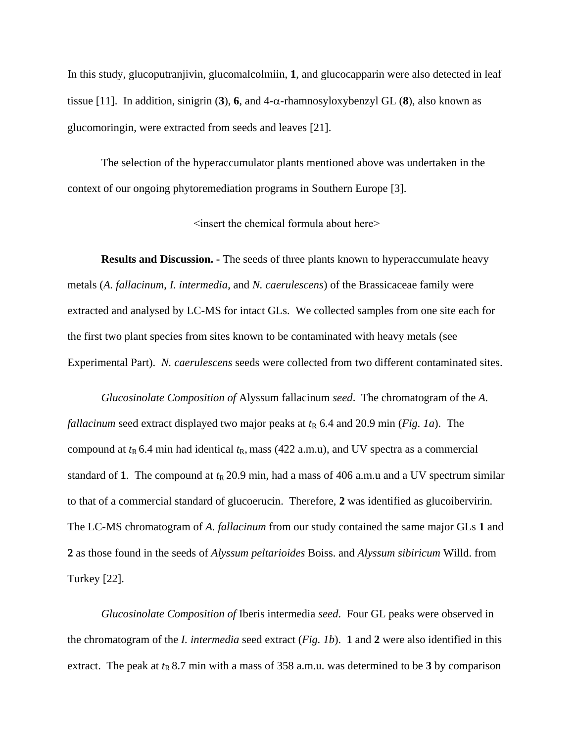In this study, glucoputranjivin, glucomalcolmiin, **1**, and glucocapparin were also detected in leaf tissue [11]. In addition, sinigrin (3), 6, and 4- $\alpha$ -rhamnosyloxybenzyl GL (8), also known as glucomoringin, were extracted from seeds and leaves [21].

The selection of the hyperaccumulator plants mentioned above was undertaken in the context of our ongoing phytoremediation programs in Southern Europe [3].

<insert the chemical formula about here>

**Results and Discussion. -** The seeds of three plants known to hyperaccumulate heavy metals (*A. fallacinum*, *I. intermedia*, and *N. caerulescens*) of the Brassicaceae family were extracted and analysed by LC-MS for intact GLs. We collected samples from one site each for the first two plant species from sites known to be contaminated with heavy metals (see Experimental Part). *N. caerulescens* seeds were collected from two different contaminated sites.

*Glucosinolate Composition of* Alyssum fallacinum *seed*.The chromatogram of the *A. fallacinum* seed extract displayed two major peaks at  $t<sub>R</sub>$  6.4 and 20.9 min (*Fig. 1a*). The compound at  $t_R$  6.4 min had identical  $t_R$ , mass (422 a.m.u), and UV spectra as a commercial standard of 1. The compound at  $t<sub>R</sub>$  20.9 min, had a mass of 406 a.m.u and a UV spectrum similar to that of a commercial standard of glucoerucin. Therefore, **2** was identified as glucoibervirin. The LC-MS chromatogram of *A. fallacinum* from our study contained the same major GLs **1** and **2** as those found in the seeds of *Alyssum peltarioides* Boiss. and *Alyssum sibiricum* Willd. from Turkey [22].

*Glucosinolate Composition of* Iberis intermedia *seed*.Four GL peaks were observed in the chromatogram of the *I. intermedia* seed extract (*Fig. 1b*). **1** and **2** were also identified in this extract. The peak at  $t<sub>R</sub> 8.7$  min with a mass of 358 a.m.u. was determined to be 3 by comparison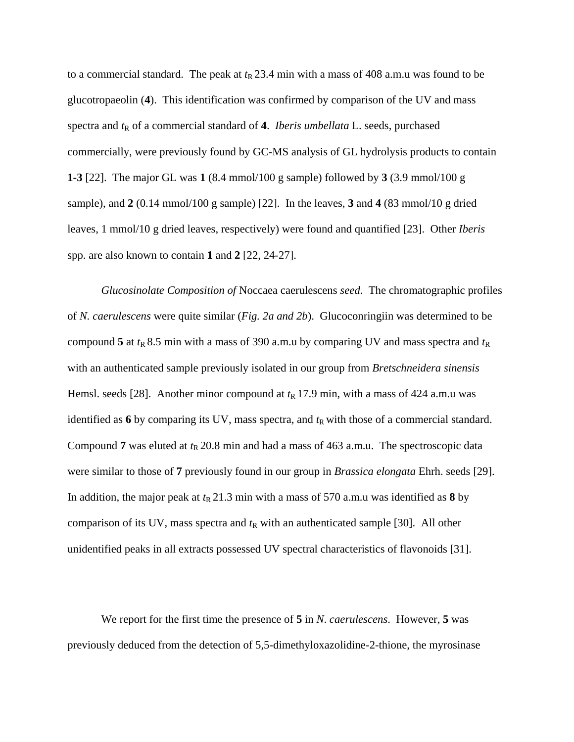to a commercial standard. The peak at  $t<sub>R</sub>$  23.4 min with a mass of 408 a.m.u was found to be glucotropaeolin (**4**). This identification was confirmed by comparison of the UV and mass spectra and  $t<sub>R</sub>$  of a commercial standard of 4. *Iberis umbellata* L. seeds, purchased commercially, were previously found by GC-MS analysis of GL hydrolysis products to contain **1-3** [22]. The major GL was **1** (8.4 mmol/100 g sample) followed by **3** (3.9 mmol/100 g sample), and **2** (0.14 mmol/100 g sample) [22]. In the leaves, **3** and **4** (83 mmol/10 g dried leaves, 1 mmol/10 g dried leaves, respectively) were found and quantified [23]. Other *Iberis* spp. are also known to contain **1** and **2** [22, 24-27].

*Glucosinolate Composition of* Noccaea caerulescens *seed*.The chromatographic profiles of *N. caerulescens* were quite similar (*Fig. 2a and 2b*). Glucoconringiin was determined to be compound 5 at  $t_R$  8.5 min with a mass of 390 a.m.u by comparing UV and mass spectra and  $t_R$ with an authenticated sample previously isolated in our group from *Bretschneidera sinensis* Hemsl. seeds [28]. Another minor compound at  $t<sub>R</sub>$  17.9 min, with a mass of 424 a.m.u was identified as  $6$  by comparing its UV, mass spectra, and  $t<sub>R</sub>$  with those of a commercial standard. Compound 7 was eluted at  $t_R$  20.8 min and had a mass of 463 a.m.u. The spectroscopic data were similar to those of **7** previously found in our group in *Brassica elongata* Ehrh. seeds [29]. In addition, the major peak at  $t_R$  21.3 min with a mass of 570 a.m.u was identified as 8 by comparison of its UV, mass spectra and  $t<sub>R</sub>$  with an authenticated sample [30]. All other unidentified peaks in all extracts possessed UV spectral characteristics of flavonoids [31].

We report for the first time the presence of **5** in *N*. *caerulescens*. However, **5** was previously deduced from the detection of 5,5-dimethyloxazolidine-2-thione, the myrosinase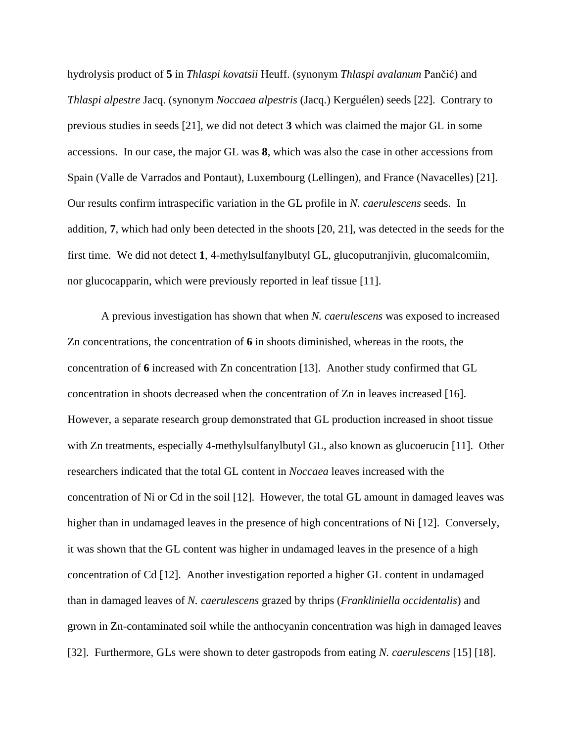hydrolysis product of **5** in *Thlaspi kovatsii* Heuff. (synonym *Thlaspi avalanum* Pančić) and *Thlaspi alpestre* Jacq. (synonym *Noccaea alpestris* (Jacq.) Kerguélen) seeds [22]. Contrary to previous studies in seeds [21], we did not detect **3** which was claimed the major GL in some accessions. In our case, the major GL was **8**, which was also the case in other accessions from Spain (Valle de Varrados and Pontaut), Luxembourg (Lellingen), and France (Navacelles) [21]. Our results confirm intraspecific variation in the GL profile in *N. caerulescens* seeds. In addition, **7**, which had only been detected in the shoots [20, 21], was detected in the seeds for the first time. We did not detect **1**, 4-methylsulfanylbutyl GL, glucoputranjivin, glucomalcomiin, nor glucocapparin, which were previously reported in leaf tissue [11].

A previous investigation has shown that when *N. caerulescens* was exposed to increased Zn concentrations, the concentration of **6** in shoots diminished, whereas in the roots, the concentration of **6** increased with Zn concentration [13]. Another study confirmed that GL concentration in shoots decreased when the concentration of Zn in leaves increased [16]. However, a separate research group demonstrated that GL production increased in shoot tissue with Zn treatments, especially 4-methylsulfanylbutyl GL, also known as glucoerucin [11]. Other researchers indicated that the total GL content in *Noccaea* leaves increased with the concentration of Ni or Cd in the soil [12]. However, the total GL amount in damaged leaves was higher than in undamaged leaves in the presence of high concentrations of Ni [12]. Conversely, it was shown that the GL content was higher in undamaged leaves in the presence of a high concentration of Cd [12]. Another investigation reported a higher GL content in undamaged than in damaged leaves of *N. caerulescens* grazed by thrips (*Frankliniella occidentalis*) and grown in Zn-contaminated soil while the anthocyanin concentration was high in damaged leaves [32]. Furthermore, GLs were shown to deter gastropods from eating *N. caerulescens* [15] [18].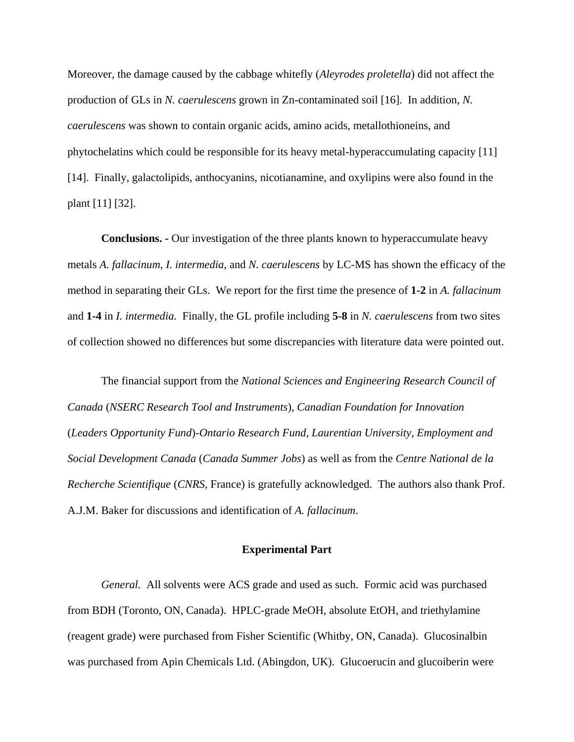Moreover, the damage caused by the cabbage whitefly (*Aleyrodes proletella*) did not affect the production of GLs in *N. caerulescens* grown in Zn-contaminated soil [16]. In addition, *N. caerulescens* was shown to contain organic acids, amino acids, metallothioneins, and phytochelatins which could be responsible for its heavy metal-hyperaccumulating capacity [11] [14]. Finally, galactolipids, anthocyanins, nicotianamine, and oxylipins were also found in the plant [11] [32].

**Conclusions. -** Our investigation of the three plants known to hyperaccumulate heavy metals *A. fallacinum*, *I. intermedia*, and *N. caerulescens* by LC-MS has shown the efficacy of the method in separating their GLs. We report for the first time the presence of **1-2** in *A. fallacinum* and **1-4** in *I. intermedia.* Finally, the GL profile including **5-8** in *N. caerulescens* from two sites of collection showed no differences but some discrepancies with literature data were pointed out.

The financial support from the *National Sciences and Engineering Research Council of Canada* (*NSERC Research Tool and Instruments*), *Canadian Foundation for Innovation* (*Leaders Opportunity Fund*)-*Ontario Research Fund*, *Laurentian University*, *Employment and Social Development Canada* (*Canada Summer Jobs*) as well as from the *Centre National de la Recherche Scientifique* (*CNRS*, France) is gratefully acknowledged. The authors also thank Prof. A.J.M. Baker for discussions and identification of *A. fallacinum*.

## **Experimental Part**

*General.* All solvents were ACS grade and used as such. Formic acid was purchased from BDH (Toronto, ON, Canada). HPLC-grade MeOH, absolute EtOH, and triethylamine (reagent grade) were purchased from Fisher Scientific (Whitby, ON, Canada). Glucosinalbin was purchased from Apin Chemicals Ltd. (Abingdon, UK). Glucoerucin and glucoiberin were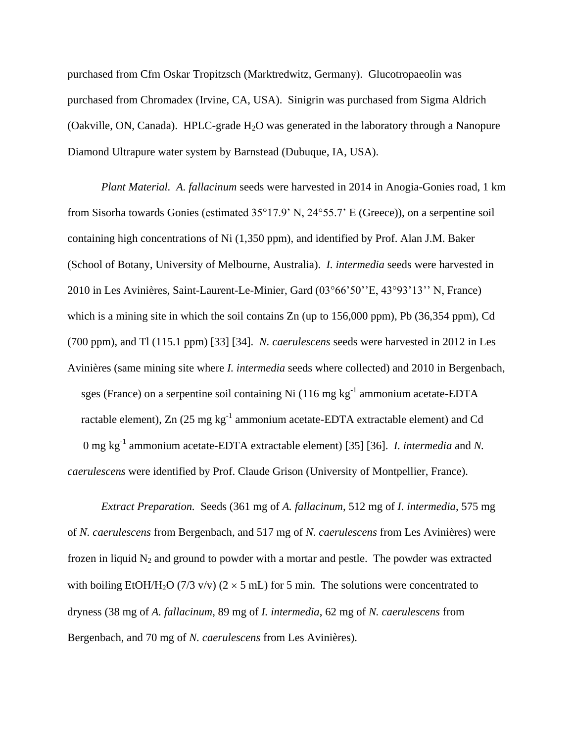purchased from Cfm Oskar Tropitzsch (Marktredwitz, Germany). Glucotropaeolin was purchased from Chromadex (Irvine, CA, USA). Sinigrin was purchased from Sigma Aldrich (Oakville, ON, Canada). HPLC-grade  $H_2O$  was generated in the laboratory through a Nanopure Diamond Ultrapure water system by Barnstead (Dubuque, IA, USA).

*Plant Material. A. fallacinum* seeds were harvested in 2014 in Anogia-Gonies road, 1 km from Sisorha towards Gonies (estimated 35°17.9' N, 24°55.7' E (Greece)), on a serpentine soil containing high concentrations of Ni (1,350 ppm), and identified by Prof. Alan J.M. Baker (School of Botany, University of Melbourne, Australia). *I. intermedia* seeds were harvested in 2010 in Les Avinières, Saint-Laurent-Le-Minier, Gard (03°66'50''E, 43°93'13'' N, France) which is a mining site in which the soil contains Zn (up to 156,000 ppm), Pb (36,354 ppm), Cd (700 ppm), and Tl (115.1 ppm) [33] [34]. *N. caerulescens* seeds were harvested in 2012 in Les Avinières (same mining site where *I. intermedia* seeds where collected) and 2010 in Bergenbach, sges (France) on a serpentine soil containing Ni (116 mg  $kg^{-1}$  ammonium acetate-EDTA ractable element), Zn (25 mg  $kg^{-1}$  ammonium acetate-EDTA extractable element) and Cd 0 mg kg<sup>-1</sup> ammonium acetate-EDTA extractable element) [35] [36]. *I. intermedia* and *N*. *caerulescens* were identified by Prof. Claude Grison (University of Montpellier, France).

*Extract Preparation.* Seeds (361 mg of *A. fallacinum*, 512 mg of *I. intermedia*, 575 mg of *N. caerulescens* from Bergenbach, and 517 mg of *N. caerulescens* from Les Avinières) were frozen in liquid  $N_2$  and ground to powder with a mortar and pestle. The powder was extracted with boiling EtOH/H<sub>2</sub>O (7/3 v/v) ( $2 \times 5$  mL) for 5 min. The solutions were concentrated to dryness (38 mg of *A. fallacinum*, 89 mg of *I. intermedia*, 62 mg of *N. caerulescens* from Bergenbach, and 70 mg of *N. caerulescens* from Les Avinières).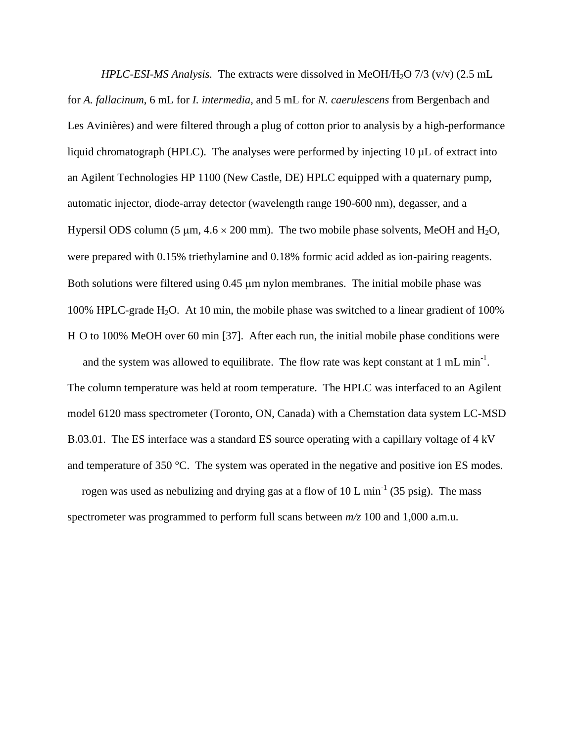*HPLC-ESI-MS Analysis.* The extracts were dissolved in MeOH/H2O 7/3 (v/v) (2.5 mL for *A. fallacinum*, 6 mL for *I. intermedia*, and 5 mL for *N. caerulescens* from Bergenbach and Les Avinières) and were filtered through a plug of cotton prior to analysis by a high-performance liquid chromatograph (HPLC). The analyses were performed by injecting 10 µL of extract into an Agilent Technologies HP 1100 (New Castle, DE) HPLC equipped with a quaternary pump, automatic injector, diode-array detector (wavelength range 190-600 nm), degasser, and a Hypersil ODS column (5  $\mu$ m, 4.6  $\times$  200 mm). The two mobile phase solvents, MeOH and H<sub>2</sub>O, were prepared with 0.15% triethylamine and 0.18% formic acid added as ion-pairing reagents. Both solutions were filtered using  $0.45 \mu m$  nylon membranes. The initial mobile phase was 100% HPLC-grade H<sub>2</sub>O. At 10 min, the mobile phase was switched to a linear gradient of 100% H O to 100% MeOH over 60 min [37]. After each run, the initial mobile phase conditions were

and the system was allowed to equilibrate. The flow rate was kept constant at 1 mL min<sup>-1</sup>. The column temperature was held at room temperature. The HPLC was interfaced to an Agilent model 6120 mass spectrometer (Toronto, ON, Canada) with a Chemstation data system LC-MSD B.03.01. The ES interface was a standard ES source operating with a capillary voltage of 4 kV and temperature of 350 °C. The system was operated in the negative and positive ion ES modes.

rogen was used as nebulizing and drying gas at a flow of 10 L min<sup>-1</sup> (35 psig). The mass spectrometer was programmed to perform full scans between  $m/z$  100 and 1,000 a.m.u.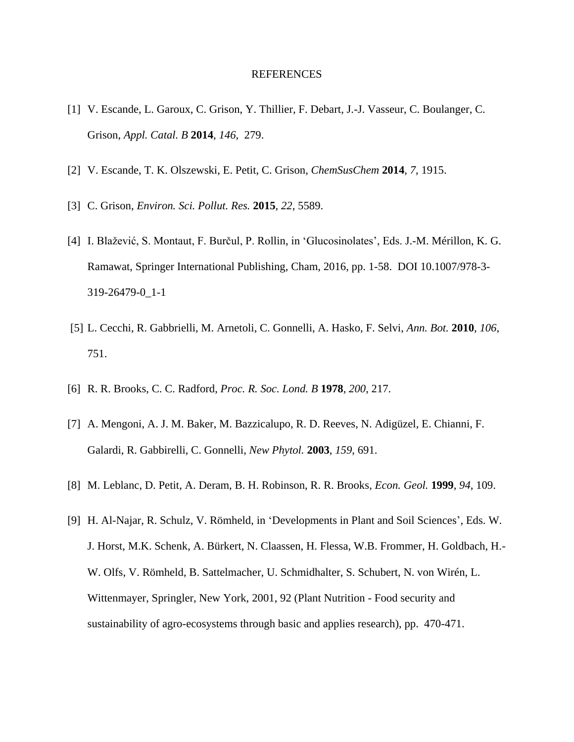## REFERENCES

- [1] V. Escande, L. Garoux, C. Grison, Y. Thillier, F. Debart, J.-J. Vasseur, C. Boulanger, C. Grison, *Appl. Catal. B* **2014**, *146*, 279.
- [2] V. Escande, T. K. Olszewski, E. Petit, C. Grison, *ChemSusChem* **2014**, *7*, 1915.
- [3] C. Grison, *Environ. Sci. Pollut. Res.* **2015**, *22*, 5589.
- [4] I. Blažević, S. Montaut, F. Burčul, P. Rollin, in 'Glucosinolates', Eds. J.-M. Mérillon, K. G. Ramawat, Springer International Publishing, Cham, 2016, pp. 1-58. DOI 10.1007/978-3- 319-26479-0\_1-1
- [5] L. Cecchi, R. Gabbrielli, M. Arnetoli, C. Gonnelli, A. Hasko, F. Selvi, *Ann. Bot.* **2010**, *106*, 751.
- [6] R. R. Brooks, C. C. Radford, *Proc. R. Soc. Lond. B* **1978**, *200*, 217.
- [7] A. Mengoni, A. J. M. Baker, M. Bazzicalupo, R. D. Reeves, N. Adigüzel, E. Chianni, F. Galardi, R. Gabbirelli, C. Gonnelli, *New Phytol.* **2003**, *159*, 691.
- [8] M. Leblanc, D. Petit, A. Deram, B. H. Robinson, R. R. Brooks, *Econ. Geol.* **1999**, *94*, 109.
- [9] H. Al-Najar, R. Schulz, V. Römheld, in 'Developments in Plant and Soil Sciences', Eds. W. J. Horst, M.K. Schenk, A. Bürkert, N. Claassen, H. Flessa, W.B. Frommer, H. Goldbach, H.- W. Olfs, V. Römheld, B. Sattelmacher, U. Schmidhalter, S. Schubert, N. von Wirén, L. Wittenmayer, Springler, New York, 2001, 92 (Plant Nutrition - Food security and sustainability of agro-ecosystems through basic and applies research), pp. 470-471.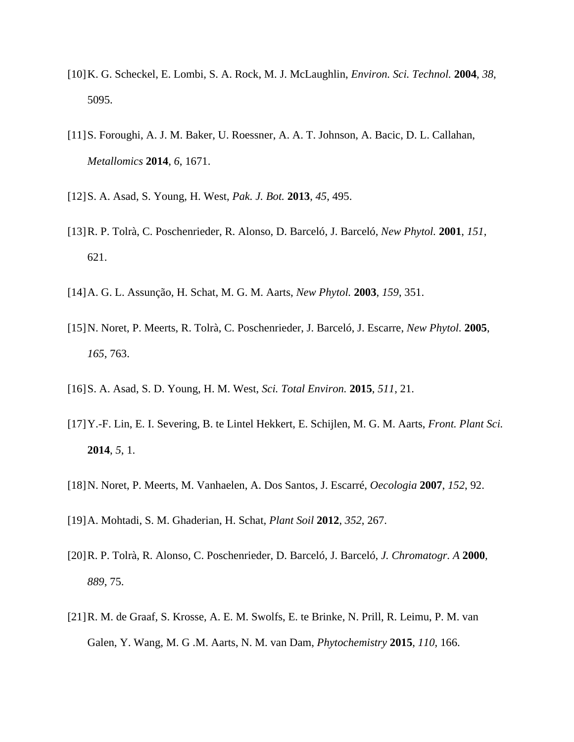- [10] K. G. Scheckel, E. Lombi, S. A. Rock, M. J. McLaughlin, *Environ. Sci. Technol.* **2004**, *38*, 5095.
- [11] S. Foroughi, A. J. M. Baker, U. Roessner, A. A. T. Johnson, A. Bacic, D. L. Callahan, *Metallomics* **2014**, *6*, 1671.
- [12] S. A. Asad, S. Young, H. West, *Pak. J. Bot.* **2013**, *45*, 495.
- [13] R. P. Tolrà, C. Poschenrieder, R. Alonso, D. Barceló, J. Barceló, *New Phytol.* **2001**, *151*, 621.
- [14] A. G. L. Assunção, H. Schat, M. G. M. Aarts, *New Phytol.* **2003**, *159*, 351.
- [15] N. Noret, P. Meerts, R. Tolrà, C. Poschenrieder, J. Barceló, J. Escarre, *New Phytol.* **2005**, *165*, 763.
- [16] S. A. Asad, S. D. Young, H. M. West, *Sci. Total Environ.* **2015**, *511*, 21.
- [17] Y.-F. Lin, E. I. Severing, B. te Lintel Hekkert, E. Schijlen, M. G. M. Aarts, *Front. Plant Sci.* **2014**, *5*, 1.
- [18] N. Noret, P. Meerts, M. Vanhaelen, A. Dos Santos, J. Escarré, *Oecologia* **2007**, *152*, 92.
- [19] A. Mohtadi, S. M. Ghaderian, H. Schat, *Plant Soil* **2012**, *352*, 267.
- [20] R. P. Tolrà, R. Alonso, C. Poschenrieder, D. Barceló, J. Barceló, *J. Chromatogr. A* **2000**, *889*, 75.
- [21] R. M. de Graaf, S. Krosse, A. E. M. Swolfs, E. te Brinke, N. Prill, R. Leimu, P. M. van Galen, Y. Wang, M. G .M. Aarts, N. M. van Dam, *Phytochemistry* **2015**, *110*, 166.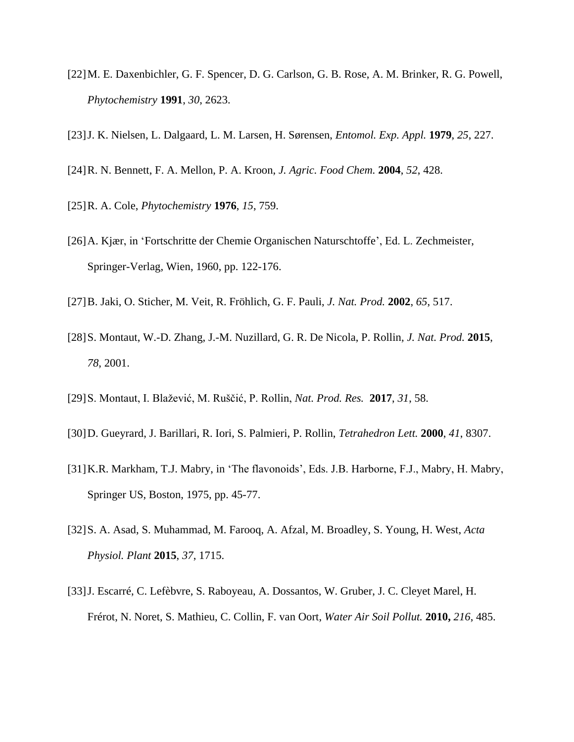- [22] M. E. Daxenbichler, G. F. Spencer, D. G. Carlson, G. B. Rose, A. M. Brinker, R. G. Powell, *Phytochemistry* **1991**, *30*, 2623.
- [23] J. K. Nielsen, L. Dalgaard, L. M. Larsen, H. Sørensen, *Entomol. Exp. Appl.* **1979**, *25*, 227.
- [24] R. N. Bennett, F. A. Mellon, P. A. Kroon, *J. Agric. Food Chem.* **2004**, *52*, 428.
- [25] R. A. Cole, *Phytochemistry* **1976**, *15*, 759.
- [26] A. Kjær, in 'Fortschritte der Chemie Organischen Naturschtoffe', Ed. L. Zechmeister, Springer-Verlag, Wien, 1960, pp. 122-176.
- [27] B. Jaki, O. Sticher, M. Veit, R. Fröhlich, G. F. Pauli, *J. Nat. Prod.* **2002**, *65*, 517.
- [28] S. Montaut, W.-D. Zhang, J.-M. Nuzillard, G. R. De Nicola, P. Rollin*, J. Nat. Prod.* **2015**, *78*, 2001.
- [29] S. Montaut, I. Blažević, M. Ruščić, P. Rollin, *Nat. Prod. Res.* **2017**, *31*, 58.
- [30] D. Gueyrard, J. Barillari, R. Iori, S. Palmieri, P. Rollin, *Tetrahedron Lett.* **2000**, *41*, 8307.
- [31] K.R. Markham, T.J. Mabry, in 'The flavonoids', Eds. J.B. Harborne, F.J., Mabry, H. Mabry, Springer US, Boston, 1975, pp. 45-77.
- [32] S. A. Asad, S. Muhammad, M. Farooq, A. Afzal, M. Broadley, S. Young, H. West, *Acta Physiol. Plant* **2015**, *37*, 1715.
- [33] J. Escarré, C. Lefèbvre, S. Raboyeau, A. Dossantos, W. Gruber, J. C. Cleyet Marel, H. Frérot, N. Noret, S. Mathieu, C. Collin, F. van Oort, *Water Air Soil Pollut.* **2010,** *216*, 485.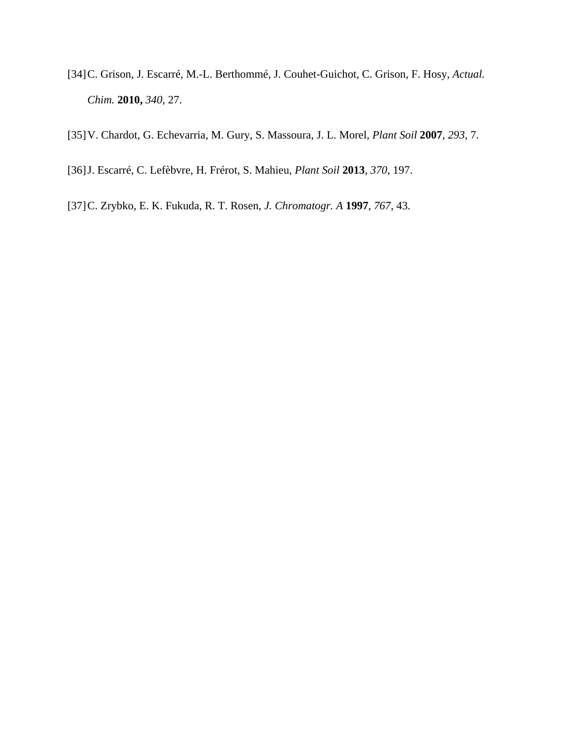- [34] C. Grison, J. Escarré, M.-L. Berthommé, J. Couhet-Guichot, C. Grison, F. Hosy, *Actual. Chim.* **2010,** *340*, 27.
- [35] V. Chardot, G. Echevarria, M. Gury, S. Massoura, J. L. Morel, *Plant Soil* **2007**, *293*, 7.
- [36] J. Escarré, C. Lefèbvre, H. Frérot, S. Mahieu, *Plant Soil* **2013**, *370*, 197.
- [37] C. Zrybko, E. K. Fukuda, R. T. Rosen, *J. Chromatogr. A* **1997**, *767*, 43.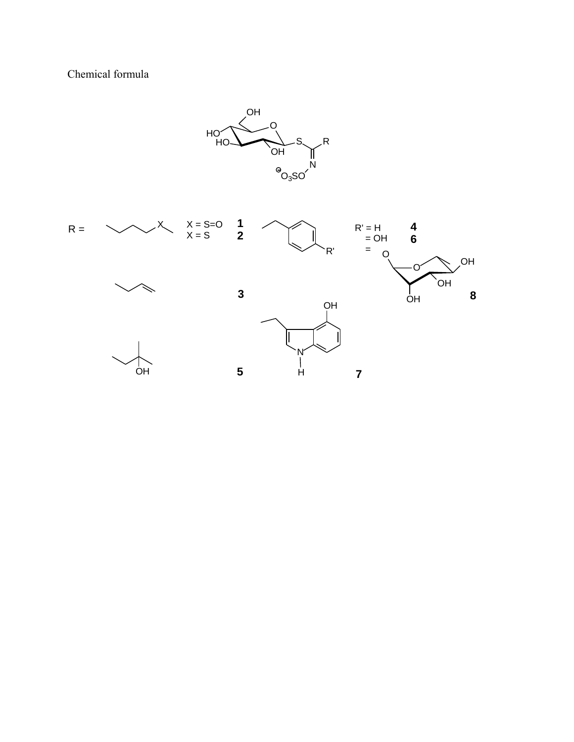Chemical formula

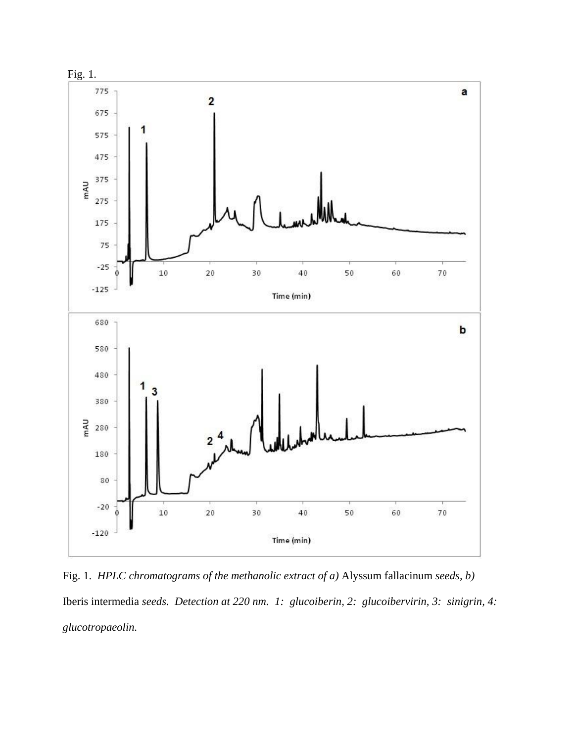

Fig. 1. *HPLC chromatograms of the methanolic extract of a)* Alyssum fallacinum *seeds, b)*  Iberis intermedia *seeds. Detection at 220 nm. 1: glucoiberin, 2: glucoibervirin, 3: sinigrin, 4: glucotropaeolin.*